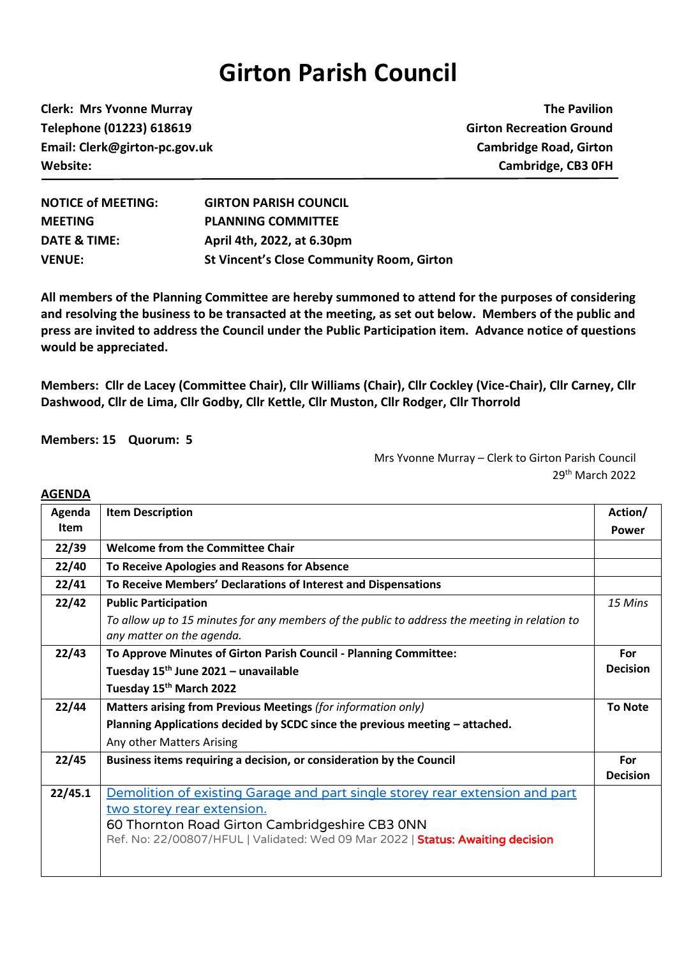## **Girton Parish Council**

**Clerk: Mrs Yvonne Murray The Pavilion Telephone (01223) 618619 Girton Recreation Ground Email: Clerk@girton-pc.gov.uk Cambridge Road, Girton Website: Cambridge, CB3 0FH**

| <b>NOTICE of MEETING:</b> | <b>GIRTON PARISH COUNCIL</b>                     |
|---------------------------|--------------------------------------------------|
| <b>MEETING</b>            | <b>PLANNING COMMITTEE</b>                        |
| DATE & TIME:              | April 4th, 2022, at 6.30pm                       |
| <b>VENUE:</b>             | <b>St Vincent's Close Community Room, Girton</b> |

**All members of the Planning Committee are hereby summoned to attend for the purposes of considering and resolving the business to be transacted at the meeting, as set out below. Members of the public and press are invited to address the Council under the Public Participation item. Advance notice of questions would be appreciated.**

**Members: Cllr de Lacey (Committee Chair), Cllr Williams (Chair), Cllr Cockley (Vice-Chair), Cllr Carney, Cllr Dashwood, Cllr de Lima, Cllr Godby, Cllr Kettle, Cllr Muston, Cllr Rodger, Cllr Thorrold**

**Members: 15 Quorum: 5**

**AGENDA**

Mrs Yvonne Murray – Clerk to Girton Parish Council 29 th March 2022

| Agenda      | <b>Item Description</b>                                                                                                    | Action/                |
|-------------|----------------------------------------------------------------------------------------------------------------------------|------------------------|
| <b>Item</b> |                                                                                                                            | Power                  |
| 22/39       | <b>Welcome from the Committee Chair</b>                                                                                    |                        |
| 22/40       | To Receive Apologies and Reasons for Absence                                                                               |                        |
| 22/41       | To Receive Members' Declarations of Interest and Dispensations                                                             |                        |
| 22/42       | <b>Public Participation</b>                                                                                                | 15 Mins                |
|             | To allow up to 15 minutes for any members of the public to address the meeting in relation to<br>any matter on the agenda. |                        |
| 22/43       | To Approve Minutes of Girton Parish Council - Planning Committee:                                                          | For                    |
|             | Tuesday 15 <sup>th</sup> June 2021 - unavailable                                                                           | <b>Decision</b>        |
|             | Tuesday 15 <sup>th</sup> March 2022                                                                                        |                        |
| 22/44       | Matters arising from Previous Meetings (for information only)                                                              | <b>To Note</b>         |
|             | Planning Applications decided by SCDC since the previous meeting - attached.                                               |                        |
|             | Any other Matters Arising                                                                                                  |                        |
| 22/45       | Business items requiring a decision, or consideration by the Council                                                       | For<br><b>Decision</b> |
| 22/45.1     | Demolition of existing Garage and part single storey rear extension and part                                               |                        |
|             | two storey rear extension.                                                                                                 |                        |
|             | 60 Thornton Road Girton Cambridgeshire CB3 ONN                                                                             |                        |
|             | Ref. No: 22/00807/HFUL   Validated: Wed 09 Mar 2022   Status: Awaiting decision                                            |                        |
|             |                                                                                                                            |                        |
|             |                                                                                                                            |                        |